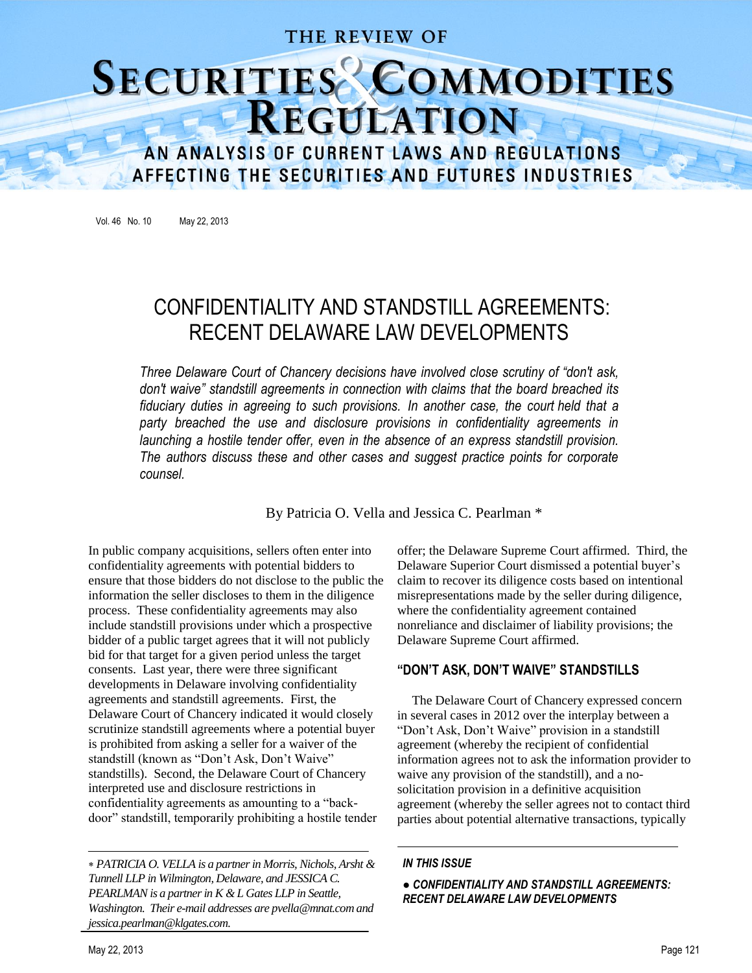# THE REVIEW OF

# SECURITIES COMMODITIES

AN ANALYSIS OF CURRENT LAWS AND REGULATIONS AFFECTING THE SECURITIES AND FUTURES INDUSTRIES

Vol. 46 No. 10 May 22, 2013

# CONFIDENTIALITY AND STANDSTILL AGREEMENTS: RECENT DELAWARE LAW DEVELOPMENTS

*Three Delaware Court of Chancery decisions have involved close scrutiny of "don't ask, don't waive" standstill agreements in connection with claims that the board breached its fiduciary duties in agreeing to such provisions. In another case, the court held that a party breached the use and disclosure provisions in confidentiality agreements in launching a hostile tender offer, even in the absence of an express standstill provision. The authors discuss these and other cases and suggest practice points for corporate counsel.*

# By Patricia O. Vella and Jessica C. Pearlman \*

In public company acquisitions, sellers often enter into confidentiality agreements with potential bidders to ensure that those bidders do not disclose to the public the information the seller discloses to them in the diligence process. These confidentiality agreements may also include standstill provisions under which a prospective bidder of a public target agrees that it will not publicly bid for that target for a given period unless the target consents. Last year, there were three significant developments in Delaware involving confidentiality agreements and standstill agreements. First, the Delaware Court of Chancery indicated it would closely scrutinize standstill agreements where a potential buyer is prohibited from asking a seller for a waiver of the standstill (known as "Don't Ask, Don't Waive" standstills). Second, the Delaware Court of Chancery interpreted use and disclosure restrictions in confidentiality agreements as amounting to a "backdoor" standstill, temporarily prohibiting a hostile tender

offer; the Delaware Supreme Court affirmed. Third, the Delaware Superior Court dismissed a potential buyer's claim to recover its diligence costs based on intentional misrepresentations made by the seller during diligence, where the confidentiality agreement contained nonreliance and disclaimer of liability provisions; the Delaware Supreme Court affirmed.

# **"DON'T ASK, DON'T WAIVE" STANDSTILLS**

The Delaware Court of Chancery expressed concern in several cases in 2012 over the interplay between a "Don't Ask, Don't Waive" provision in a standstill agreement (whereby the recipient of confidential information agrees not to ask the information provider to waive any provision of the standstill), and a nosolicitation provision in a definitive acquisition agreement (whereby the seller agrees not to contact third parties about potential alternative transactions, typically

#### *IN THIS ISSUE*

*● CONFIDENTIALITY AND STANDSTILL AGREEMENTS: RECENT DELAWARE LAW DEVELOPMENTS*

*PATRICIA O. VELLA is a partner in Morris, Nichols, Arsht & Tunnell LLP in Wilmington, Delaware, and JESSICA C. PEARLMAN is a partner in K & L Gates LLP in Seattle, Washington. Their e-mail addresses are pvella@mnat.com and jessica.pearlman@klgates.com.*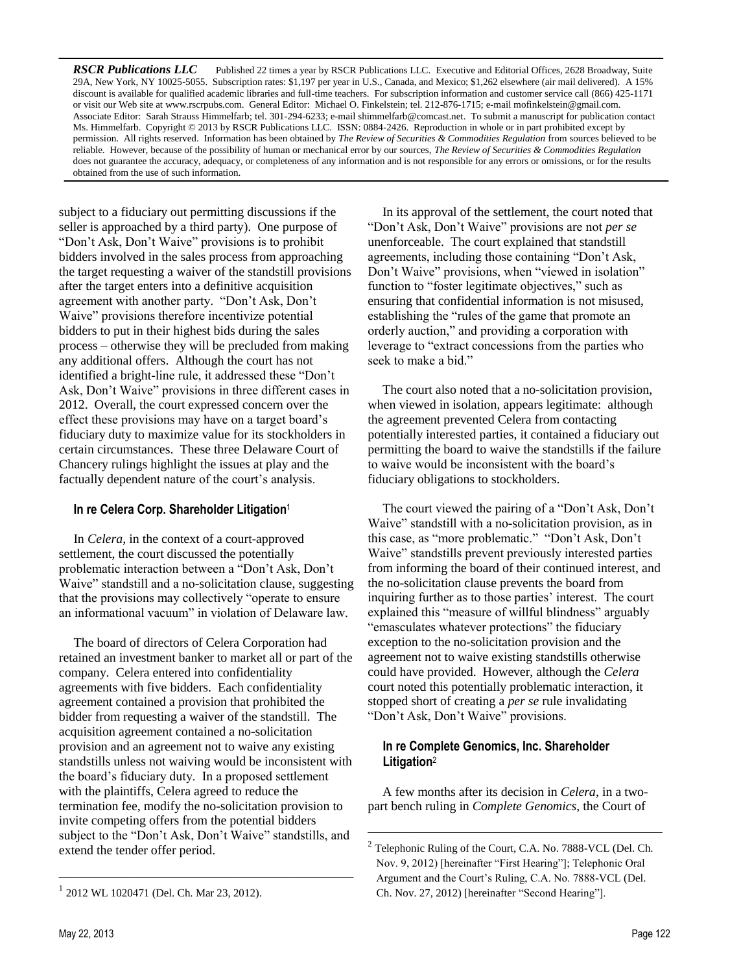*RSCR Publications LLC* Published 22 times a year by RSCR Publications LLC. Executive and Editorial Offices, 2628 Broadway, Suite 29A, New York, NY 10025-5055. Subscription rates: \$1,197 per year in U.S., Canada, and Mexico; \$1,262 elsewhere (air mail delivered). A 15% discount is available for qualified academic libraries and full-time teachers. For subscription information and customer service call (866) 425-1171 or visit our Web site a[t www.rscrpubs.com.](http://www.rscrpubs.com/) General Editor: Michael O. Finkelstein; tel. 212-876-1715; e-mail mofinkelstein@gmail.com. Associate Editor: Sarah Strauss Himmelfarb; tel. 301-294-6233; e-mail shimmelfarb@comcast.net. To submit a manuscript for publication contact Ms. Himmelfarb. Copyright © 2013 by RSCR Publications LLC. ISSN: 0884-2426. Reproduction in whole or in part prohibited except by permission. All rights reserved. Information has been obtained by *The Review of Securities & Commodities Regulation* from sources believed to be reliable. However, because of the possibility of human or mechanical error by our sources, *The Review of Securities & Commodities Regulation* does not guarantee the accuracy, adequacy, or completeness of any information and is not responsible for any errors or omissions, or for the results obtained from the use of such information.

subject to a fiduciary out permitting discussions if the seller is approached by a third party). One purpose of "Don't Ask, Don't Waive" provisions is to prohibit bidders involved in the sales process from approaching the target requesting a waiver of the standstill provisions after the target enters into a definitive acquisition agreement with another party. "Don't Ask, Don't Waive" provisions therefore incentivize potential bidders to put in their highest bids during the sales process – otherwise they will be precluded from making any additional offers. Although the court has not identified a bright-line rule, it addressed these "Don't Ask, Don't Waive" provisions in three different cases in 2012. Overall, the court expressed concern over the effect these provisions may have on a target board's fiduciary duty to maximize value for its stockholders in certain circumstances. These three Delaware Court of Chancery rulings highlight the issues at play and the factually dependent nature of the court's analysis.

#### **In re Celera Corp. Shareholder Litigation**<sup>1</sup>

In *Celera*, in the context of a court-approved settlement, the court discussed the potentially problematic interaction between a "Don't Ask, Don't Waive" standstill and a no-solicitation clause, suggesting that the provisions may collectively "operate to ensure an informational vacuum" in violation of Delaware law.

The board of directors of Celera Corporation had retained an investment banker to market all or part of the company. Celera entered into confidentiality agreements with five bidders. Each confidentiality agreement contained a provision that prohibited the bidder from requesting a waiver of the standstill. The acquisition agreement contained a no-solicitation provision and an agreement not to waive any existing standstills unless not waiving would be inconsistent with the board's fiduciary duty. In a proposed settlement with the plaintiffs, Celera agreed to reduce the termination fee, modify the no-solicitation provision to invite competing offers from the potential bidders subject to the "Don't Ask, Don't Waive" standstills, and extend the tender offer period.

————————————————————

In its approval of the settlement, the court noted that "Don't Ask, Don't Waive" provisions are not *per se*  unenforceable. The court explained that standstill agreements, including those containing "Don't Ask, Don't Waive" provisions, when "viewed in isolation" function to "foster legitimate objectives," such as ensuring that confidential information is not misused, establishing the "rules of the game that promote an orderly auction," and providing a corporation with leverage to "extract concessions from the parties who seek to make a bid."

The court also noted that a no-solicitation provision, when viewed in isolation, appears legitimate: although the agreement prevented Celera from contacting potentially interested parties, it contained a fiduciary out permitting the board to waive the standstills if the failure to waive would be inconsistent with the board's fiduciary obligations to stockholders.

The court viewed the pairing of a "Don't Ask, Don't Waive" standstill with a no-solicitation provision, as in this case, as "more problematic." "Don't Ask, Don't Waive" standstills prevent previously interested parties from informing the board of their continued interest, and the no-solicitation clause prevents the board from inquiring further as to those parties' interest. The court explained this "measure of willful blindness" arguably "emasculates whatever protections" the fiduciary exception to the no-solicitation provision and the agreement not to waive existing standstills otherwise could have provided. However, although the *Celera* court noted this potentially problematic interaction, it stopped short of creating a *per se* rule invalidating "Don't Ask, Don't Waive" provisions.

#### **In re Complete Genomics, Inc. Shareholder Litigation**<sup>2</sup>

A few months after its decision in *Celera*, in a twopart bench ruling in *Complete Genomics*, the Court of

————————————————————

 $2$  Telephonic Ruling of the Court, C.A. No. 7888-VCL (Del. Ch. Nov. 9, 2012) [hereinafter "First Hearing"]; Telephonic Oral Argument and the Court's Ruling, C.A. No. 7888-VCL (Del. Ch. Nov. 27, 2012) [hereinafter "Second Hearing"].

<sup>1</sup> 2012 WL 1020471 (Del. Ch. Mar 23, 2012).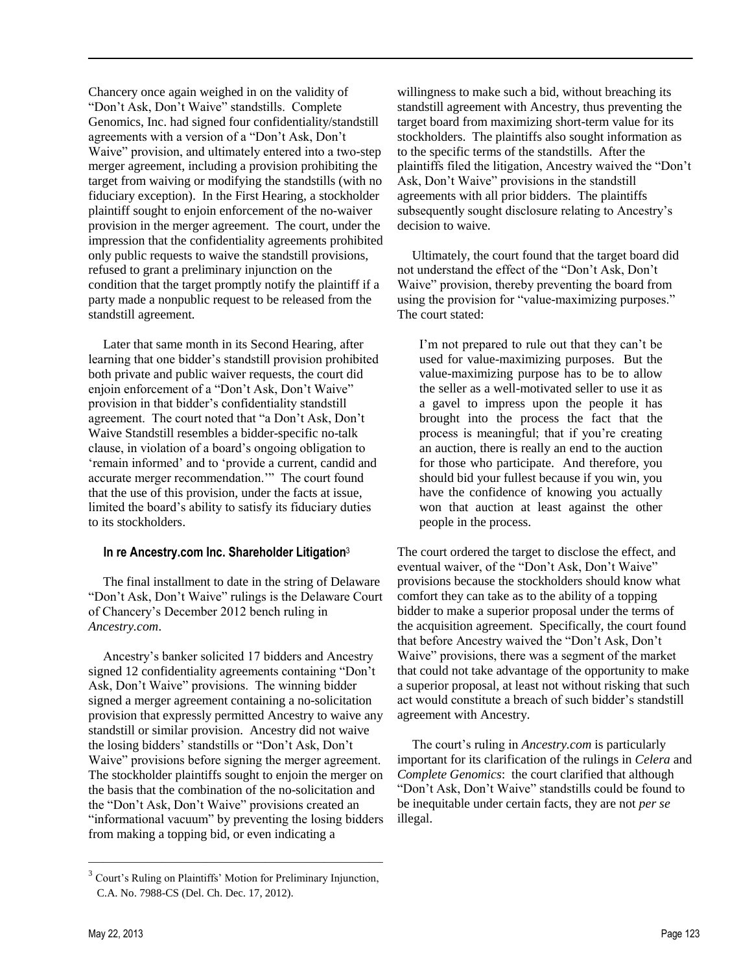Chancery once again weighed in on the validity of "Don't Ask, Don't Waive" standstills. Complete Genomics, Inc. had signed four confidentiality/standstill agreements with a version of a "Don't Ask, Don't Waive" provision, and ultimately entered into a two-step merger agreement, including a provision prohibiting the target from waiving or modifying the standstills (with no fiduciary exception). In the First Hearing, a stockholder plaintiff sought to enjoin enforcement of the no-waiver provision in the merger agreement. The court, under the impression that the confidentiality agreements prohibited only public requests to waive the standstill provisions, refused to grant a preliminary injunction on the condition that the target promptly notify the plaintiff if a party made a nonpublic request to be released from the standstill agreement.

Later that same month in its Second Hearing, after learning that one bidder's standstill provision prohibited both private and public waiver requests, the court did enjoin enforcement of a "Don't Ask, Don't Waive" provision in that bidder's confidentiality standstill agreement. The court noted that "a Don't Ask, Don't Waive Standstill resembles a bidder-specific no-talk clause, in violation of a board's ongoing obligation to 'remain informed' and to 'provide a current, candid and accurate merger recommendation.'" The court found that the use of this provision, under the facts at issue, limited the board's ability to satisfy its fiduciary duties to its stockholders.

#### **In re Ancestry.com Inc. Shareholder Litigation**<sup>3</sup>

The final installment to date in the string of Delaware "Don't Ask, Don't Waive" rulings is the Delaware Court of Chancery's December 2012 bench ruling in *Ancestry.com*.

Ancestry's banker solicited 17 bidders and Ancestry signed 12 confidentiality agreements containing "Don't Ask, Don't Waive" provisions. The winning bidder signed a merger agreement containing a no-solicitation provision that expressly permitted Ancestry to waive any standstill or similar provision. Ancestry did not waive the losing bidders' standstills or "Don't Ask, Don't Waive" provisions before signing the merger agreement. The stockholder plaintiffs sought to enjoin the merger on the basis that the combination of the no-solicitation and the "Don't Ask, Don't Waive" provisions created an "informational vacuum" by preventing the losing bidders from making a topping bid, or even indicating a

willingness to make such a bid, without breaching its standstill agreement with Ancestry, thus preventing the target board from maximizing short-term value for its stockholders. The plaintiffs also sought information as to the specific terms of the standstills. After the plaintiffs filed the litigation, Ancestry waived the "Don't Ask, Don't Waive" provisions in the standstill agreements with all prior bidders. The plaintiffs subsequently sought disclosure relating to Ancestry's decision to waive.

Ultimately, the court found that the target board did not understand the effect of the "Don't Ask, Don't Waive" provision, thereby preventing the board from using the provision for "value-maximizing purposes." The court stated:

I'm not prepared to rule out that they can't be used for value-maximizing purposes. But the value-maximizing purpose has to be to allow the seller as a well-motivated seller to use it as a gavel to impress upon the people it has brought into the process the fact that the process is meaningful; that if you're creating an auction, there is really an end to the auction for those who participate. And therefore, you should bid your fullest because if you win, you have the confidence of knowing you actually won that auction at least against the other people in the process.

The court ordered the target to disclose the effect, and eventual waiver, of the "Don't Ask, Don't Waive" provisions because the stockholders should know what comfort they can take as to the ability of a topping bidder to make a superior proposal under the terms of the acquisition agreement. Specifically, the court found that before Ancestry waived the "Don't Ask, Don't Waive" provisions, there was a segment of the market that could not take advantage of the opportunity to make a superior proposal, at least not without risking that such act would constitute a breach of such bidder's standstill agreement with Ancestry.

The court's ruling in *Ancestry.com* is particularly important for its clarification of the rulings in *Celera* and *Complete Genomics*: the court clarified that although "Don't Ask, Don't Waive" standstills could be found to be inequitable under certain facts, they are not *per se*  illegal.

<sup>————————————————————</sup> <sup>3</sup> Court's Ruling on Plaintiffs' Motion for Preliminary Injunction, C.A. No. 7988-CS (Del. Ch. Dec. 17, 2012).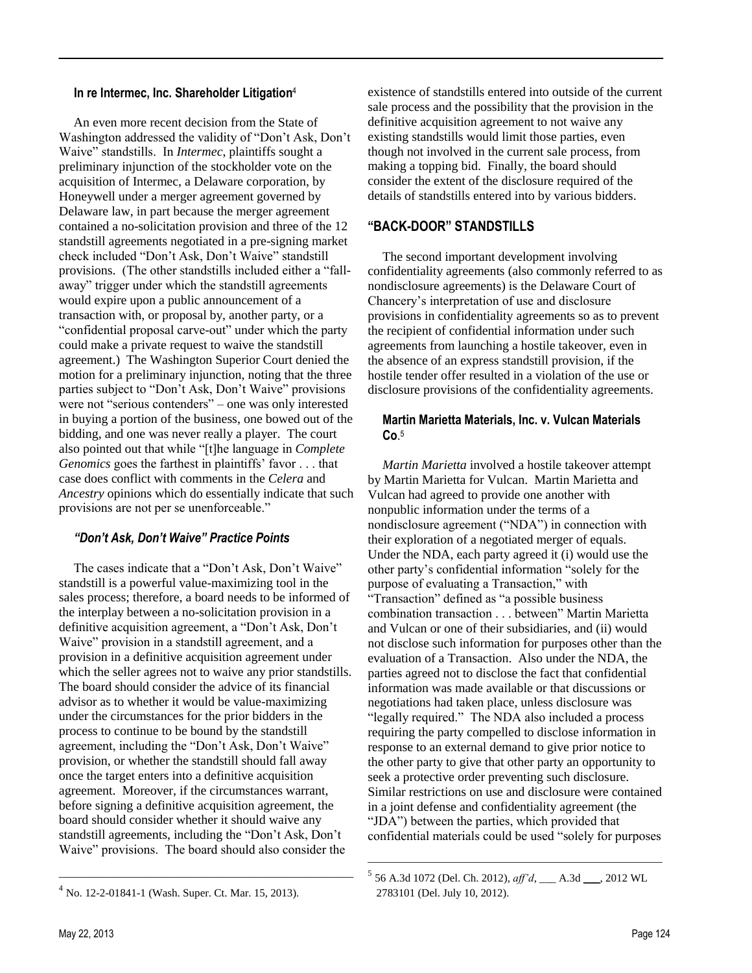#### **In re Intermec, Inc. Shareholder Litigation** 4

An even more recent decision from the State of Washington addressed the validity of "Don't Ask, Don't Waive" standstills. In *Intermec*, plaintiffs sought a preliminary injunction of the stockholder vote on the acquisition of Intermec, a Delaware corporation, by Honeywell under a merger agreement governed by Delaware law, in part because the merger agreement contained a no-solicitation provision and three of the 12 standstill agreements negotiated in a pre-signing market check included "Don't Ask, Don't Waive" standstill provisions. (The other standstills included either a "fallaway" trigger under which the standstill agreements would expire upon a public announcement of a transaction with, or proposal by, another party, or a "confidential proposal carve-out" under which the party could make a private request to waive the standstill agreement.) The Washington Superior Court denied the motion for a preliminary injunction, noting that the three parties subject to "Don't Ask, Don't Waive" provisions were not "serious contenders" – one was only interested in buying a portion of the business, one bowed out of the bidding, and one was never really a player. The court also pointed out that while "[t]he language in *Complete Genomics* goes the farthest in plaintiffs' favor . . . that case does conflict with comments in the *Celera* and *Ancestry* opinions which do essentially indicate that such provisions are not per se unenforceable."

# *"Don't Ask, Don't Waive" Practice Points*

The cases indicate that a "Don't Ask, Don't Waive" standstill is a powerful value-maximizing tool in the sales process; therefore, a board needs to be informed of the interplay between a no-solicitation provision in a definitive acquisition agreement, a "Don't Ask, Don't Waive" provision in a standstill agreement, and a provision in a definitive acquisition agreement under which the seller agrees not to waive any prior standstills. The board should consider the advice of its financial advisor as to whether it would be value-maximizing under the circumstances for the prior bidders in the process to continue to be bound by the standstill agreement, including the "Don't Ask, Don't Waive" provision, or whether the standstill should fall away once the target enters into a definitive acquisition agreement. Moreover, if the circumstances warrant, before signing a definitive acquisition agreement, the board should consider whether it should waive any standstill agreements, including the "Don't Ask, Don't Waive" provisions. The board should also consider the

existence of standstills entered into outside of the current sale process and the possibility that the provision in the definitive acquisition agreement to not waive any existing standstills would limit those parties, even though not involved in the current sale process, from making a topping bid. Finally, the board should consider the extent of the disclosure required of the details of standstills entered into by various bidders.

# **"BACK-DOOR" STANDSTILLS**

The second important development involving confidentiality agreements (also commonly referred to as nondisclosure agreements) is the Delaware Court of Chancery's interpretation of use and disclosure provisions in confidentiality agreements so as to prevent the recipient of confidential information under such agreements from launching a hostile takeover, even in the absence of an express standstill provision, if the hostile tender offer resulted in a violation of the use or disclosure provisions of the confidentiality agreements.

#### **Martin Marietta Materials, Inc. v. Vulcan Materials Co**. 5

*Martin Marietta* involved a hostile takeover attempt by Martin Marietta for Vulcan. Martin Marietta and Vulcan had agreed to provide one another with nonpublic information under the terms of a nondisclosure agreement ("NDA") in connection with their exploration of a negotiated merger of equals. Under the NDA, each party agreed it (i) would use the other party's confidential information "solely for the purpose of evaluating a Transaction," with "Transaction" defined as "a possible business combination transaction . . . between" Martin Marietta and Vulcan or one of their subsidiaries, and (ii) would not disclose such information for purposes other than the evaluation of a Transaction. Also under the NDA, the parties agreed not to disclose the fact that confidential information was made available or that discussions or negotiations had taken place, unless disclosure was "legally required." The NDA also included a process requiring the party compelled to disclose information in response to an external demand to give prior notice to the other party to give that other party an opportunity to seek a protective order preventing such disclosure. Similar restrictions on use and disclosure were contained in a joint defense and confidentiality agreement (the "JDA") between the parties, which provided that confidential materials could be used "solely for purposes

————————————————————

————————————————————

<sup>4</sup> No. 12-2-01841-1 (Wash. Super. Ct. Mar. 15, 2013).

<sup>5</sup> 56 A.3d 1072 (Del. Ch. 2012), *aff'd*, \_\_\_ A.3d \_\_\_, 2012 WL 2783101 (Del. July 10, 2012).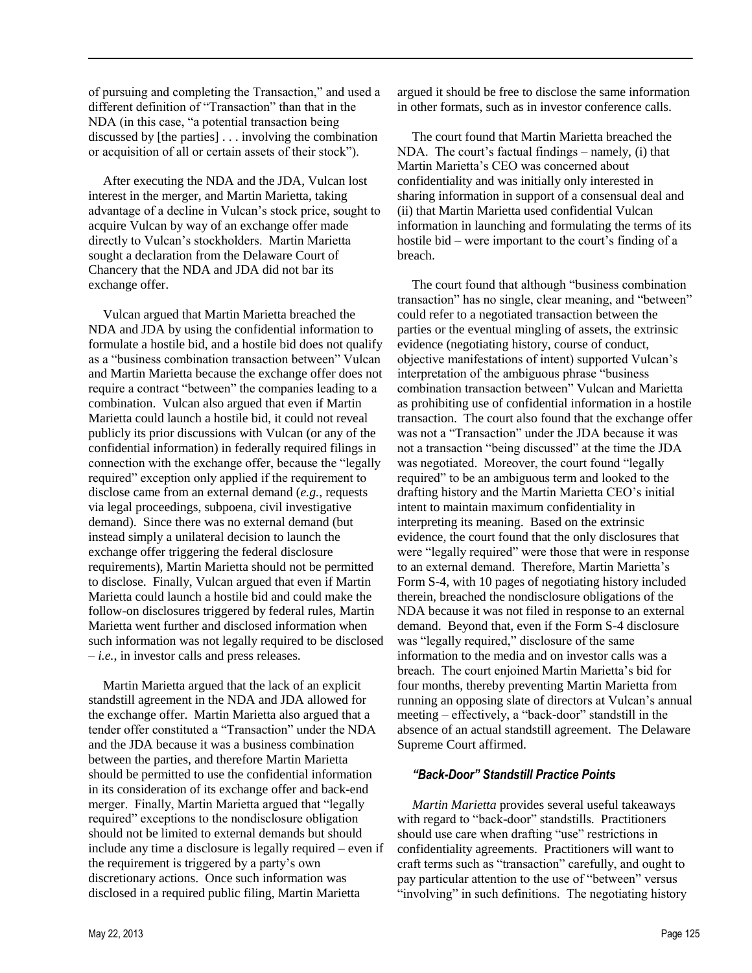of pursuing and completing the Transaction," and used a different definition of "Transaction" than that in the NDA (in this case, "a potential transaction being discussed by [the parties] . . . involving the combination or acquisition of all or certain assets of their stock").

After executing the NDA and the JDA, Vulcan lost interest in the merger, and Martin Marietta, taking advantage of a decline in Vulcan's stock price, sought to acquire Vulcan by way of an exchange offer made directly to Vulcan's stockholders. Martin Marietta sought a declaration from the Delaware Court of Chancery that the NDA and JDA did not bar its exchange offer.

Vulcan argued that Martin Marietta breached the NDA and JDA by using the confidential information to formulate a hostile bid, and a hostile bid does not qualify as a "business combination transaction between" Vulcan and Martin Marietta because the exchange offer does not require a contract "between" the companies leading to a combination. Vulcan also argued that even if Martin Marietta could launch a hostile bid, it could not reveal publicly its prior discussions with Vulcan (or any of the confidential information) in federally required filings in connection with the exchange offer, because the "legally required" exception only applied if the requirement to disclose came from an external demand (*e.g.*, requests via legal proceedings, subpoena, civil investigative demand). Since there was no external demand (but instead simply a unilateral decision to launch the exchange offer triggering the federal disclosure requirements), Martin Marietta should not be permitted to disclose. Finally, Vulcan argued that even if Martin Marietta could launch a hostile bid and could make the follow-on disclosures triggered by federal rules, Martin Marietta went further and disclosed information when such information was not legally required to be disclosed – *i.e.*, in investor calls and press releases.

Martin Marietta argued that the lack of an explicit standstill agreement in the NDA and JDA allowed for the exchange offer. Martin Marietta also argued that a tender offer constituted a "Transaction" under the NDA and the JDA because it was a business combination between the parties, and therefore Martin Marietta should be permitted to use the confidential information in its consideration of its exchange offer and back-end merger. Finally, Martin Marietta argued that "legally required" exceptions to the nondisclosure obligation should not be limited to external demands but should include any time a disclosure is legally required – even if the requirement is triggered by a party's own discretionary actions. Once such information was disclosed in a required public filing, Martin Marietta

argued it should be free to disclose the same information in other formats, such as in investor conference calls.

The court found that Martin Marietta breached the NDA. The court's factual findings – namely, (i) that Martin Marietta's CEO was concerned about confidentiality and was initially only interested in sharing information in support of a consensual deal and (ii) that Martin Marietta used confidential Vulcan information in launching and formulating the terms of its hostile bid – were important to the court's finding of a breach.

The court found that although "business combination transaction" has no single, clear meaning, and "between" could refer to a negotiated transaction between the parties or the eventual mingling of assets, the extrinsic evidence (negotiating history, course of conduct, objective manifestations of intent) supported Vulcan's interpretation of the ambiguous phrase "business combination transaction between" Vulcan and Marietta as prohibiting use of confidential information in a hostile transaction. The court also found that the exchange offer was not a "Transaction" under the JDA because it was not a transaction "being discussed" at the time the JDA was negotiated. Moreover, the court found "legally required" to be an ambiguous term and looked to the drafting history and the Martin Marietta CEO's initial intent to maintain maximum confidentiality in interpreting its meaning. Based on the extrinsic evidence, the court found that the only disclosures that were "legally required" were those that were in response to an external demand. Therefore, Martin Marietta's Form S-4, with 10 pages of negotiating history included therein, breached the nondisclosure obligations of the NDA because it was not filed in response to an external demand. Beyond that, even if the Form S-4 disclosure was "legally required," disclosure of the same information to the media and on investor calls was a breach. The court enjoined Martin Marietta's bid for four months, thereby preventing Martin Marietta from running an opposing slate of directors at Vulcan's annual meeting – effectively, a "back-door" standstill in the absence of an actual standstill agreement. The Delaware Supreme Court affirmed.

#### *"Back-Door" Standstill Practice Points*

*Martin Marietta* provides several useful takeaways with regard to "back-door" standstills. Practitioners should use care when drafting "use" restrictions in confidentiality agreements. Practitioners will want to craft terms such as "transaction" carefully, and ought to pay particular attention to the use of "between" versus "involving" in such definitions. The negotiating history